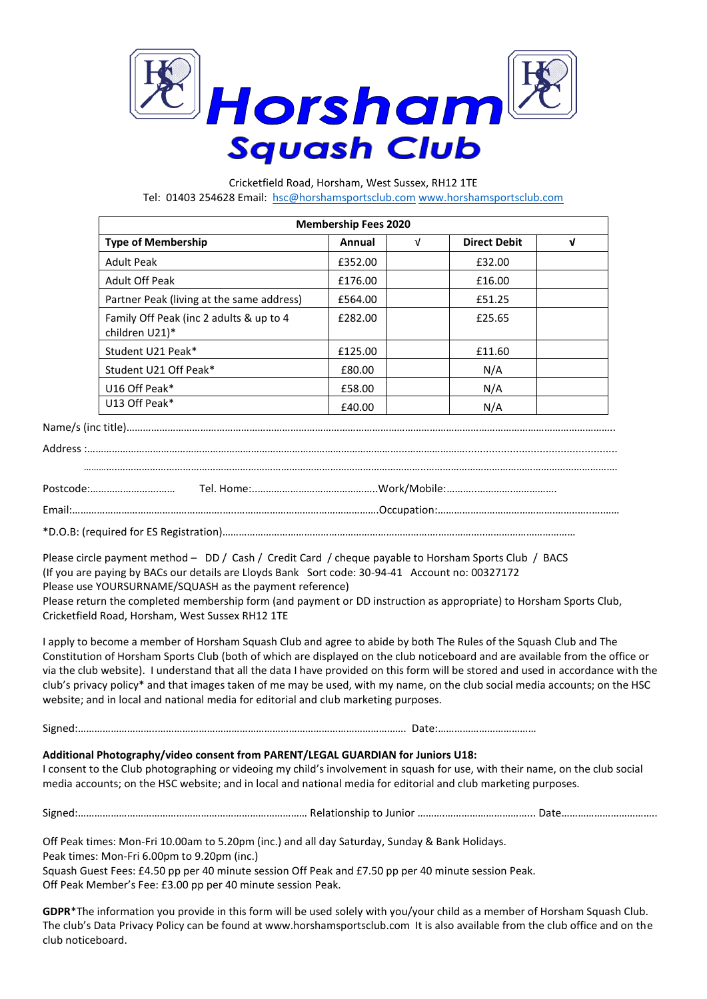

Cricketfield Road, Horsham, West Sussex, RH12 1TE Tel: 01403 254628 Email: [hsc@horshamsportsclub.com](mailto:hsc@horshamsportsclub.com) [www.horshamsportsclub.com](http://www.horshamsportsclub.com/)

| <b>Membership Fees 2020</b>                               |         |            |                     |   |  |
|-----------------------------------------------------------|---------|------------|---------------------|---|--|
| <b>Type of Membership</b>                                 | Annual  | $\sqrt{ }$ | <b>Direct Debit</b> | V |  |
| <b>Adult Peak</b>                                         | £352.00 |            | £32.00              |   |  |
| <b>Adult Off Peak</b>                                     | £176.00 |            | £16.00              |   |  |
| Partner Peak (living at the same address)                 | £564.00 |            | £51.25              |   |  |
| Family Off Peak (inc 2 adults & up to 4<br>children U21)* | £282.00 |            | £25.65              |   |  |
| Student U21 Peak*                                         | £125.00 |            | £11.60              |   |  |
| Student U21 Off Peak*                                     | £80.00  |            | N/A                 |   |  |
| U16 Off Peak*                                             | £58.00  |            | N/A                 |   |  |
| U13 Off Peak*                                             | £40.00  |            | N/A                 |   |  |

Name/s (inc title)……………………………………………………………………………………………………………………………………………………………..

Please circle payment method – DD / Cash / Credit Card / cheque payable to Horsham Sports Club / BACS (If you are paying by BACs our details are Lloyds Bank Sort code: 30-94-41 Account no: 00327172 Please use YOURSURNAME/SQUASH as the payment reference) Please return the completed membership form (and payment or DD instruction as appropriate) to Horsham Sports Club, Cricketfield Road, Horsham, West Sussex RH12 1TE

I apply to become a member of Horsham Squash Club and agree to abide by both The Rules of the Squash Club and The Constitution of Horsham Sports Club (both of which are displayed on the club noticeboard and are available from the office or via the club website). I understand that all the data I have provided on this form will be stored and used in accordance with the club's privacy policy\* and that images taken of me may be used, with my name, on the club social media accounts; on the HSC website; and in local and national media for editorial and club marketing purposes.

Signed:………………………..………………………………………………………………………………. Date:………………………………

## **Additional Photography/video consent from PARENT/LEGAL GUARDIAN for Juniors U18:**

I consent to the Club photographing or videoing my child's involvement in squash for use, with their name, on the club social media accounts; on the HSC website; and in local and national media for editorial and club marketing purposes.

Signed:………………………………………………………………………… Relationship to Junior ……….…………………………... Date……………………………..

Off Peak times: Mon-Fri 10.00am to 5.20pm (inc.) and all day Saturday, Sunday & Bank Holidays. Peak times: Mon-Fri 6.00pm to 9.20pm (inc.) Squash Guest Fees: £4.50 pp per 40 minute session Off Peak and £7.50 pp per 40 minute session Peak.

Off Peak Member's Fee: £3.00 pp per 40 minute session Peak.

**GDPR**\*The information you provide in this form will be used solely with you/your child as a member of Horsham Squash Club. The club's Data Privacy Policy can be found at www.horshamsportsclub.com It is also available from the club office and on the club noticeboard.